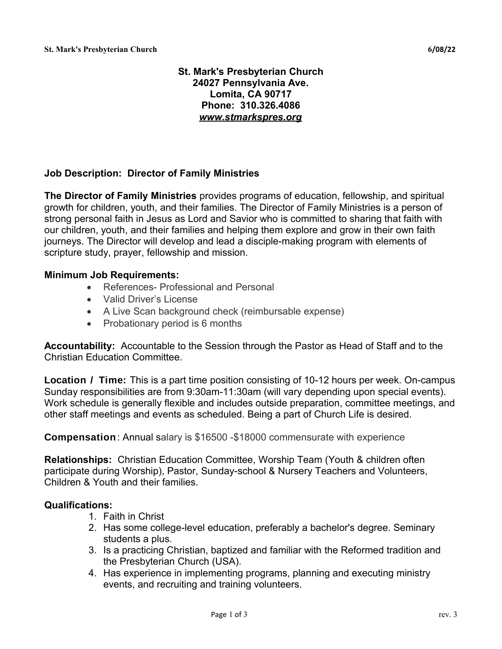# **St. Mark's Presbyterian Church 24027 Pennsylvania Ave. Lomita, CA 90717 Phone: 310.326.4086** *[www.stmarkspres.org](https://www.stmarkspres.org/)*

# **Job Description: Director of Family Ministries**

**The Director of Family Ministries** provides programs of education, fellowship, and spiritual growth for children, youth, and their families. The Director of Family Ministries is a person of strong personal faith in Jesus as Lord and Savior who is committed to sharing that faith with our children, youth, and their families and helping them explore and grow in their own faith journeys. The Director will develop and lead a disciple-making program with elements of scripture study, prayer, fellowship and mission.

### **Minimum Job Requirements:**

- References- Professional and Personal
- Valid Driver's License
- A Live Scan background check (reimbursable expense)
- Probationary period is 6 months

**Accountability:** Accountable to the Session through the Pastor as Head of Staff and to the Christian Education Committee.

**Location / Time:** This is a part time position consisting of 10-12 hours per week. On-campus Sunday responsibilities are from 9:30am-11:30am (will vary depending upon special events). Work schedule is generally flexible and includes outside preparation, committee meetings, and other staff meetings and events as scheduled. Being a part of Church Life is desired.

**Compensation**: Annual salary is \$16500 -\$18000 commensurate with experience

**Relationships:** Christian Education Committee, Worship Team (Youth & children often participate during Worship), Pastor, Sunday-school & Nursery Teachers and Volunteers, Children & Youth and their families.

### **Qualifications:**

- 1. Faith in Christ
- 2. Has some college-level education, preferably a bachelor's degree. Seminary students a plus.
- 3. Is a practicing Christian, baptized and familiar with the Reformed tradition and the Presbyterian Church (USA).
- 4. Has experience in implementing programs, planning and executing ministry events, and recruiting and training volunteers.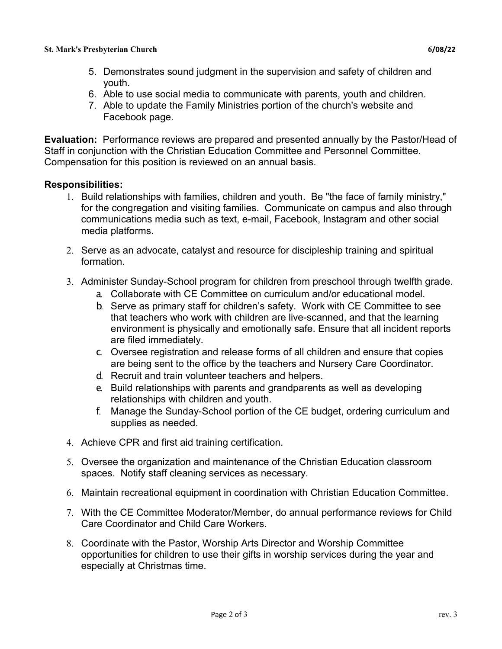- 5. Demonstrates sound judgment in the supervision and safety of children and youth.
- 6. Able to use social media to communicate with parents, youth and children.
- 7. Able to update the Family Ministries portion of the church's website and Facebook page.

**Evaluation:** Performance reviews are prepared and presented annually by the Pastor/Head of Staff in conjunction with the Christian Education Committee and Personnel Committee. Compensation for this position is reviewed on an annual basis.

# **Responsibilities:**

- 1. Build relationships with families, children and youth. Be "the face of family ministry," for the congregation and visiting families. Communicate on campus and also through communications media such as text, e-mail, Facebook, Instagram and other social media platforms.
- 2. Serve as an advocate, catalyst and resource for discipleship training and spiritual formation.
- 3. Administer Sunday-School program for children from preschool through twelfth grade.
	- a. Collaborate with CE Committee on curriculum and/or educational model.
	- b. Serve as primary staff for children's safety. Work with CE Committee to see that teachers who work with children are live-scanned, and that the learning environment is physically and emotionally safe. Ensure that all incident reports are filed immediately.
	- c. Oversee registration and release forms of all children and ensure that copies are being sent to the office by the teachers and Nursery Care Coordinator.
	- d. Recruit and train volunteer teachers and helpers.
	- e. Build relationships with parents and grandparents as well as developing relationships with children and youth.
	- f. Manage the Sunday-School portion of the CE budget, ordering curriculum and supplies as needed.
- 4. Achieve CPR and first aid training certification.
- 5. Oversee the organization and maintenance of the Christian Education classroom spaces. Notify staff cleaning services as necessary.
- 6. Maintain recreational equipment in coordination with Christian Education Committee.
- 7. With the CE Committee Moderator/Member, do annual performance reviews for Child Care Coordinator and Child Care Workers.
- 8. Coordinate with the Pastor, Worship Arts Director and Worship Committee opportunities for children to use their gifts in worship services during the year and especially at Christmas time.